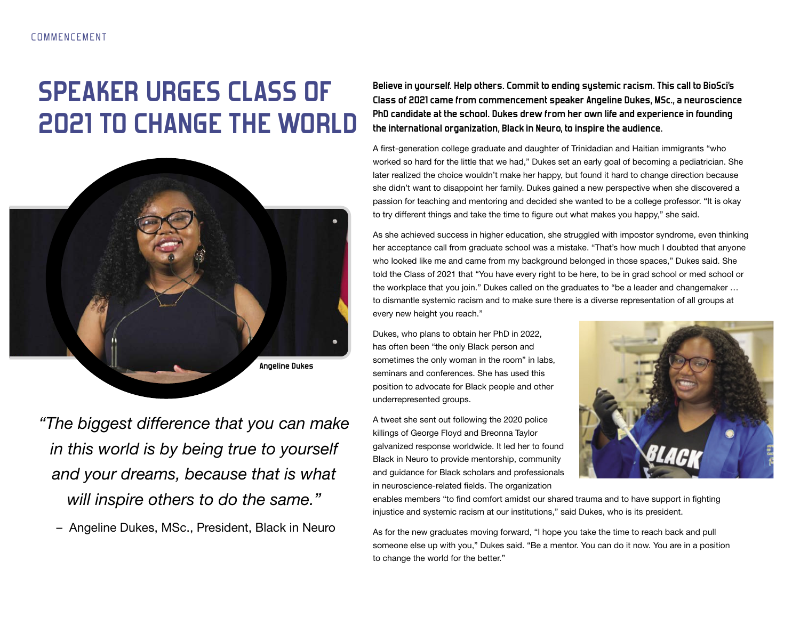## **SPEAKER URGES CLASS OF 2021 TO CHANGE THE WORLD**



*"The biggest difference that you can make in this world is by being true to yourself and your dreams, because that is what will inspire others to do the same."* 

– Angeline Dukes, MSc., President, Black in Neuro

**Believe in yourself. Help others. Commit to ending systemic racism. This call to BioSci's Class of 2021 came from commencement speaker Angeline Dukes, MSc., a neuroscience PhD candidate at the school. Dukes drew from her own life and experience in founding the international organization, Black in Neuro, to inspire the audience.** 

A first-generation college graduate and daughter of Trinidadian and Haitian immigrants "who worked so hard for the little that we had," Dukes set an early goal of becoming a pediatrician. She later realized the choice wouldn't make her happy, but found it hard to change direction because she didn't want to disappoint her family. Dukes gained a new perspective when she discovered a passion for teaching and mentoring and decided she wanted to be a college professor. "It is okay to try different things and take the time to figure out what makes you happy," she said.

As she achieved success in higher education, she struggled with impostor syndrome, even thinking her acceptance call from graduate school was a mistake. "That's how much I doubted that anyone who looked like me and came from my background belonged in those spaces," Dukes said. She told the Class of 2021 that "You have every right to be here, to be in grad school or med school or the workplace that you join." Dukes called on the graduates to "be a leader and changemaker … to dismantle systemic racism and to make sure there is a diverse representation of all groups at every new height you reach."

Dukes, who plans to obtain her PhD in 2022, has often been "the only Black person and sometimes the only woman in the room" in labs, seminars and conferences. She has used this position to advocate for Black people and other underrepresented groups.

A tweet she sent out following the 2020 police killings of George Floyd and Breonna Taylor galvanized response worldwide. It led her to found Black in Neuro to provide mentorship, community and guidance for Black scholars and professionals in neuroscience-related fields. The organization



enables members "to find comfort amidst our shared trauma and to have support in fighting injustice and systemic racism at our institutions," said Dukes, who is its president.

As for the new graduates moving forward, "I hope you take the time to reach back and pull someone else up with you," Dukes said. "Be a mentor. You can do it now. You are in a position to change the world for the better."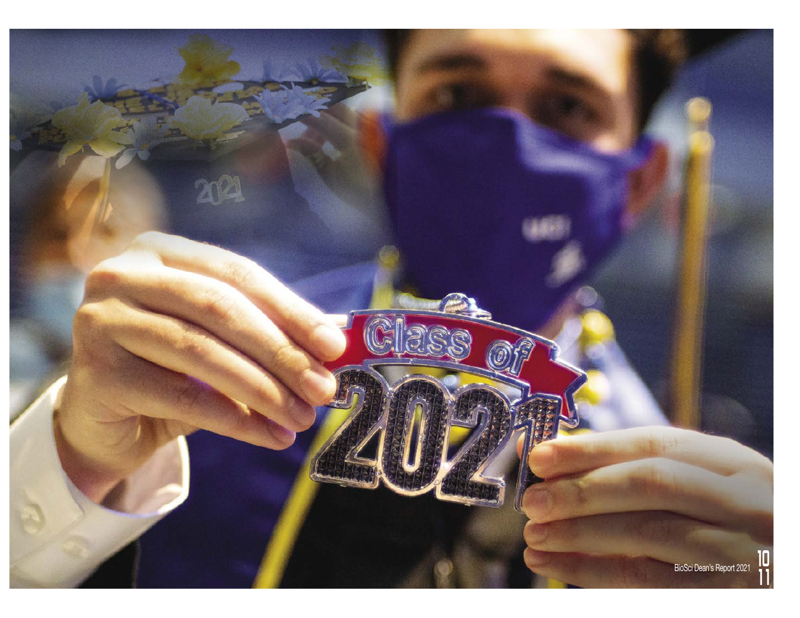